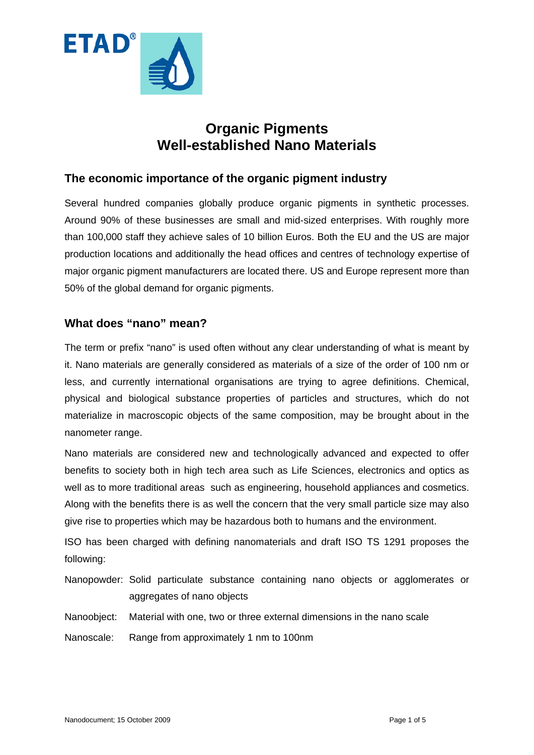

# **Organic Pigments Well-established Nano Materials**

## **The economic importance of the organic pigment industry**

Several hundred companies globally produce organic pigments in synthetic processes. Around 90% of these businesses are small and mid-sized enterprises. With roughly more than 100,000 staff they achieve sales of 10 billion Euros. Both the EU and the US are major production locations and additionally the head offices and centres of technology expertise of major organic pigment manufacturers are located there. US and Europe represent more than 50% of the global demand for organic pigments.

## **What does "nano" mean?**

The term or prefix "nano" is used often without any clear understanding of what is meant by it. Nano materials are generally considered as materials of a size of the order of 100 nm or less, and currently international organisations are trying to agree definitions. Chemical, physical and biological substance properties of particles and structures, which do not materialize in macroscopic objects of the same composition, may be brought about in the nanometer range.

Nano materials are considered new and technologically advanced and expected to offer benefits to society both in high tech area such as Life Sciences, electronics and optics as well as to more traditional areas such as engineering, household appliances and cosmetics. Along with the benefits there is as well the concern that the very small particle size may also give rise to properties which may be hazardous both to humans and the environment.

ISO has been charged with defining nanomaterials and draft ISO TS 1291 proposes the following:

Nanopowder: Solid particulate substance containing nano objects or agglomerates or aggregates of nano objects

Nanoobject: Material with one, two or three external dimensions in the nano scale

Nanoscale: Range from approximately 1 nm to 100nm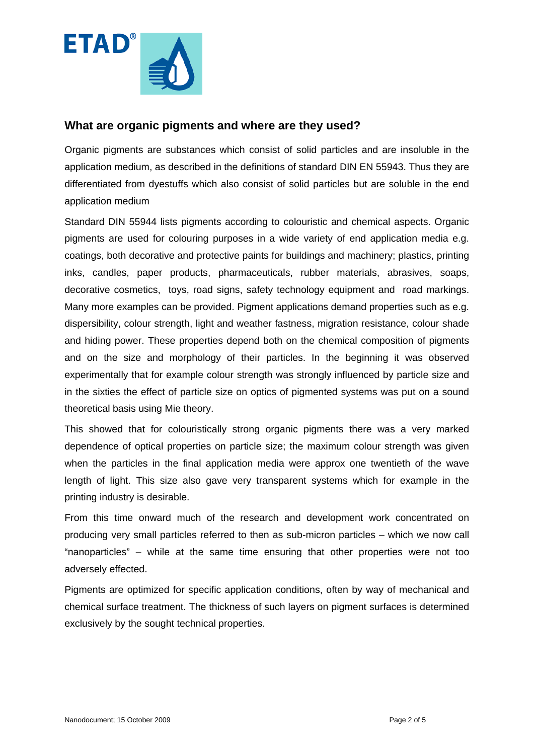

#### **What are organic pigments and where are they used?**

Organic pigments are substances which consist of solid particles and are insoluble in the application medium, as described in the definitions of standard DIN EN 55943. Thus they are differentiated from dyestuffs which also consist of solid particles but are soluble in the end application medium

Standard DIN 55944 lists pigments according to colouristic and chemical aspects. Organic pigments are used for colouring purposes in a wide variety of end application media e.g. coatings, both decorative and protective paints for buildings and machinery; plastics, printing inks, candles, paper products, pharmaceuticals, rubber materials, abrasives, soaps, decorative cosmetics, toys, road signs, safety technology equipment and road markings. Many more examples can be provided. Pigment applications demand properties such as e.g. dispersibility, colour strength, light and weather fastness, migration resistance, colour shade and hiding power. These properties depend both on the chemical composition of pigments and on the size and morphology of their particles. In the beginning it was observed experimentally that for example colour strength was strongly influenced by particle size and in the sixties the effect of particle size on optics of pigmented systems was put on a sound theoretical basis using Mie theory.

This showed that for colouristically strong organic pigments there was a very marked dependence of optical properties on particle size; the maximum colour strength was given when the particles in the final application media were approx one twentieth of the wave length of light. This size also gave very transparent systems which for example in the printing industry is desirable.

From this time onward much of the research and development work concentrated on producing very small particles referred to then as sub-micron particles – which we now call "nanoparticles" – while at the same time ensuring that other properties were not too adversely effected.

Pigments are optimized for specific application conditions, often by way of mechanical and chemical surface treatment. The thickness of such layers on pigment surfaces is determined exclusively by the sought technical properties.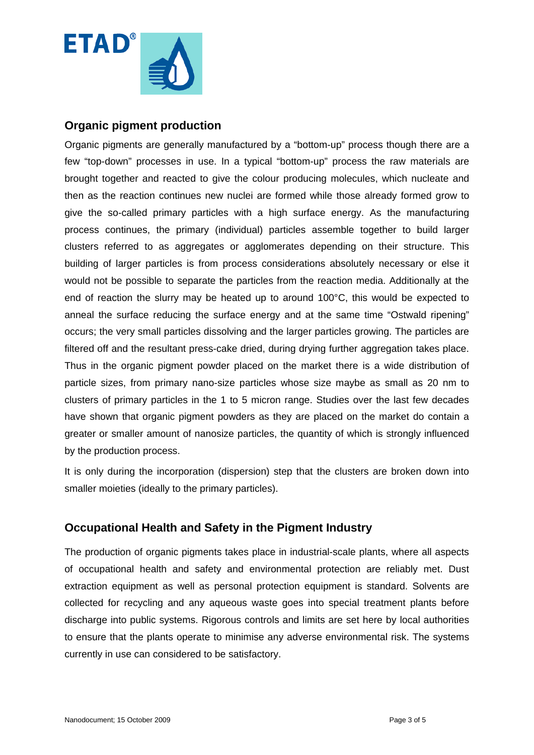

## **Organic pigment production**

Organic pigments are generally manufactured by a "bottom-up" process though there are a few "top-down" processes in use. In a typical "bottom-up" process the raw materials are brought together and reacted to give the colour producing molecules, which nucleate and then as the reaction continues new nuclei are formed while those already formed grow to give the so-called primary particles with a high surface energy. As the manufacturing process continues, the primary (individual) particles assemble together to build larger clusters referred to as aggregates or agglomerates depending on their structure. This building of larger particles is from process considerations absolutely necessary or else it would not be possible to separate the particles from the reaction media. Additionally at the end of reaction the slurry may be heated up to around 100°C, this would be expected to anneal the surface reducing the surface energy and at the same time "Ostwald ripening" occurs; the very small particles dissolving and the larger particles growing. The particles are filtered off and the resultant press-cake dried, during drying further aggregation takes place. Thus in the organic pigment powder placed on the market there is a wide distribution of particle sizes, from primary nano-size particles whose size maybe as small as 20 nm to clusters of primary particles in the 1 to 5 micron range. Studies over the last few decades have shown that organic pigment powders as they are placed on the market do contain a greater or smaller amount of nanosize particles, the quantity of which is strongly influenced by the production process.

It is only during the incorporation (dispersion) step that the clusters are broken down into smaller moieties (ideally to the primary particles).

## **Occupational Health and Safety in the Pigment Industry**

The production of organic pigments takes place in industrial-scale plants, where all aspects of occupational health and safety and environmental protection are reliably met. Dust extraction equipment as well as personal protection equipment is standard. Solvents are collected for recycling and any aqueous waste goes into special treatment plants before discharge into public systems. Rigorous controls and limits are set here by local authorities to ensure that the plants operate to minimise any adverse environmental risk. The systems currently in use can considered to be satisfactory.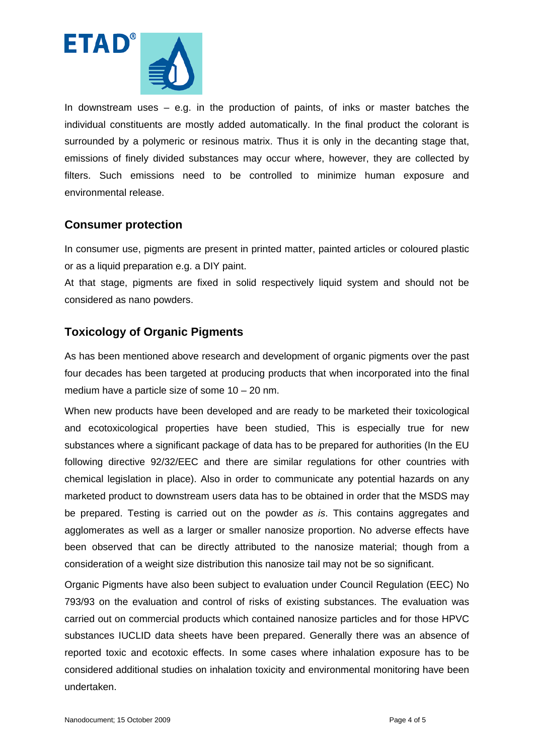

In downstream uses – e.g. in the production of paints, of inks or master batches the individual constituents are mostly added automatically. In the final product the colorant is surrounded by a polymeric or resinous matrix. Thus it is only in the decanting stage that, emissions of finely divided substances may occur where, however, they are collected by filters. Such emissions need to be controlled to minimize human exposure and environmental release.

## **Consumer protection**

In consumer use, pigments are present in printed matter, painted articles or coloured plastic or as a liquid preparation e.g. a DIY paint.

At that stage, pigments are fixed in solid respectively liquid system and should not be considered as nano powders.

## **Toxicology of Organic Pigments**

As has been mentioned above research and development of organic pigments over the past four decades has been targeted at producing products that when incorporated into the final medium have a particle size of some 10 – 20 nm.

When new products have been developed and are ready to be marketed their toxicological and ecotoxicological properties have been studied, This is especially true for new substances where a significant package of data has to be prepared for authorities (In the EU following directive 92/32/EEC and there are similar regulations for other countries with chemical legislation in place). Also in order to communicate any potential hazards on any marketed product to downstream users data has to be obtained in order that the MSDS may be prepared. Testing is carried out on the powder *as is*. This contains aggregates and agglomerates as well as a larger or smaller nanosize proportion. No adverse effects have been observed that can be directly attributed to the nanosize material; though from a consideration of a weight size distribution this nanosize tail may not be so significant.

Organic Pigments have also been subject to evaluation under Council Regulation (EEC) No 793/93 on the evaluation and control of risks of existing substances. The evaluation was carried out on commercial products which contained nanosize particles and for those HPVC substances IUCLID data sheets have been prepared. Generally there was an absence of reported toxic and ecotoxic effects. In some cases where inhalation exposure has to be considered additional studies on inhalation toxicity and environmental monitoring have been undertaken.